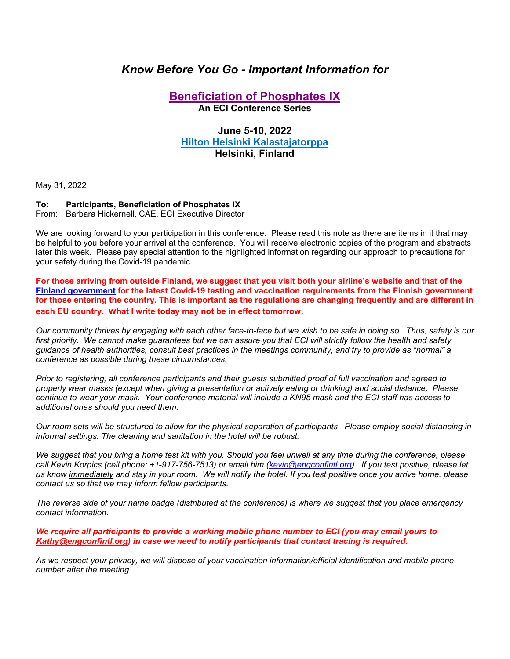# *Know Before You Go - Important Information for*

## **Beneficiation of Phosphates IX An ECI Conference Series**

## **June 5-10, 2022 Hilton Helsinki Kalastajatorppa Helsinki, Finland**

May 31, 2022

#### **To: Participants, Beneficiation of Phosphates IX**

From: Barbara Hickernell, CAE, ECI Executive Director

We are looking forward to your participation in this conference. Please read this note as there are items in it that may be helpful to you before your arrival at the conference. You will receive electronic copies of the program and abstracts later this week. Please pay special attention to the highlighted information regarding our approach to precautions for your safety during the Covid-19 pandemic.

**For those arriving from outside Finland, we suggest that you visit both your airline's website and that of the Finland government for the latest Covid-19 testing and vaccination requirements from the Finnish government for those entering the country. This is important as the regulations are changing frequently and are different in each EU country. what I write today may not be in effect tomorrow.** 

*Our community thrives by engaging with each other face-to-face but we wish to be safe in doing so. Thus, safety is our first priority. We cannot make guarantees but we can assure you that ECI will strictly follow the health and safety guidance of health authorities, consult best practices in the meetings community, and try to provide as "normal" a conference as possible during these circumstances.* 

*Prior to registering, all conference participants and their guests submitted proof of full vaccination and agreed to properly wear masks (except when giving a presentation or actively eating or drinking) and social distance. Please continue to wear your mask. Your conference material will include a KN95 mask and the ECI staff has access to additional ones should you need them.* 

*Our room sets will be structured to allow for the physical separation of participants Please employ social distancing in informal settings. The cleaning and sanitation in the hotel will be robust.* 

*We suggest that you bring a home test kit with you. Should you feel unwell at any time during the conference, please call Kevin Korpics (cell phone: +1-917-756-7513) or email him (kevin@engconfintl.org). If you test positive, please let us know immediately and stay in your room. We will notify the hotel. If you test positive once you arrive home, please contact us so that we may inform fellow participants.* 

*The reverse side of your name badge (distributed at the conference) is where we suggest that you place emergency contact information.* 

*We require all participants to provide a working mobile phone number to ECI (you may email yours to Kathy@engconfintl.org) in case we need to notify participants that contact tracing is required.* 

*As we respect your privacy, we will dispose of your vaccination information/official identification and mobile phone number after the meeting.*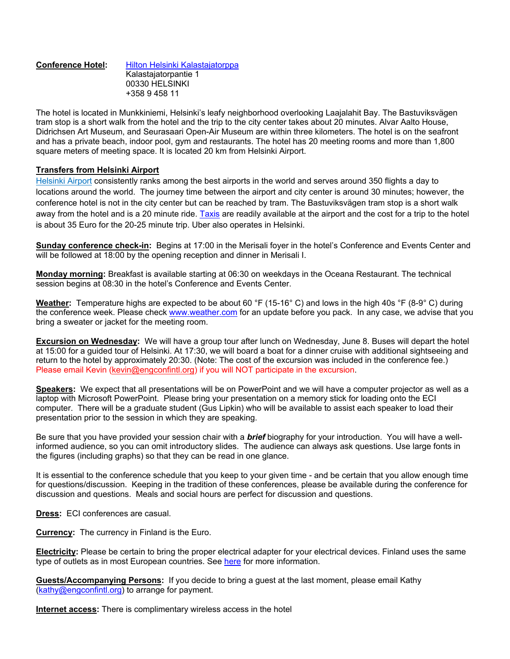#### **Conference Hotel:** Hilton Helsinki Kalastajatorppa Kalastajatorpantie 1 00330 HELSINKI +358 9 458 11

The hotel is located in Munkkiniemi, Helsinki's leafy neighborhood overlooking Laajalahit Bay. The Bastuviksvägen tram stop is a short walk from the hotel and the trip to the city center takes about 20 minutes. Alvar Aalto House, Didrichsen Art Museum, and Seurasaari Open-Air Museum are within three kilometers. The hotel is on the seafront and has a private beach, indoor pool, gym and restaurants. The hotel has 20 meeting rooms and more than 1,800 square meters of meeting space. It is located 20 km from Helsinki Airport.

### **Transfers from Helsinki Airport**

Helsinki Airport consistently ranks among the best airports in the world and serves around 350 flights a day to locations around the world. The journey time between the airport and city center is around 30 minutes; however, the conference hotel is not in the city center but can be reached by tram. The Bastuviksvägen tram stop is a short walk away from the hotel and is a 20 minute ride. Taxis are readily available at the airport and the cost for a trip to the hotel is about 35 Euro for the 20-25 minute trip. Uber also operates in Helsinki.

**Sunday conference check-in:** Begins at 17:00 in the Merisali foyer in the hotel's Conference and Events Center and will be followed at 18:00 by the opening reception and dinner in Merisali I.

**Monday morning:** Breakfast is available starting at 06:30 on weekdays in the Oceana Restaurant. The technical session begins at 08:30 in the hotel's Conference and Events Center.

**Weather:** Temperature highs are expected to be about 60 °F (15-16° C) and lows in the high 40s °F (8-9° C) during the conference week. Please check www.weather.com for an update before you pack. In any case, we advise that you bring a sweater or jacket for the meeting room.

**Excursion on Wednesday:** We will have a group tour after lunch on Wednesday, June 8. Buses will depart the hotel at 15:00 for a guided tour of Helsinki. At 17:30, we will board a boat for a dinner cruise with additional sightseeing and return to the hotel by approximately 20:30. (Note: The cost of the excursion was included in the conference fee.) Please email Kevin (kevin@engconfintl.org) if you will NOT participate in the excursion.

**Speakers:** We expect that all presentations will be on PowerPoint and we will have a computer projector as well as a laptop with Microsoft PowerPoint. Please bring your presentation on a memory stick for loading onto the ECI computer. There will be a graduate student (Gus Lipkin) who will be available to assist each speaker to load their presentation prior to the session in which they are speaking.

Be sure that you have provided your session chair with a *brief* biography for your introduction. You will have a wellinformed audience, so you can omit introductory slides. The audience can always ask questions. Use large fonts in the figures (including graphs) so that they can be read in one glance.

It is essential to the conference schedule that you keep to your given time - and be certain that you allow enough time for questions/discussion. Keeping in the tradition of these conferences, please be available during the conference for discussion and questions. Meals and social hours are perfect for discussion and questions.

**Dress:** ECI conferences are casual.

**Currency:** The currency in Finland is the Euro.

**Electricity:** Please be certain to bring the proper electrical adapter for your electrical devices. Finland uses the same type of outlets as in most European countries. See here for more information.

**Guests/Accompanying Persons:** If you decide to bring a guest at the last moment, please email Kathy (kathy@engconfintl.org) to arrange for payment.

**Internet access:** There is complimentary wireless access in the hotel